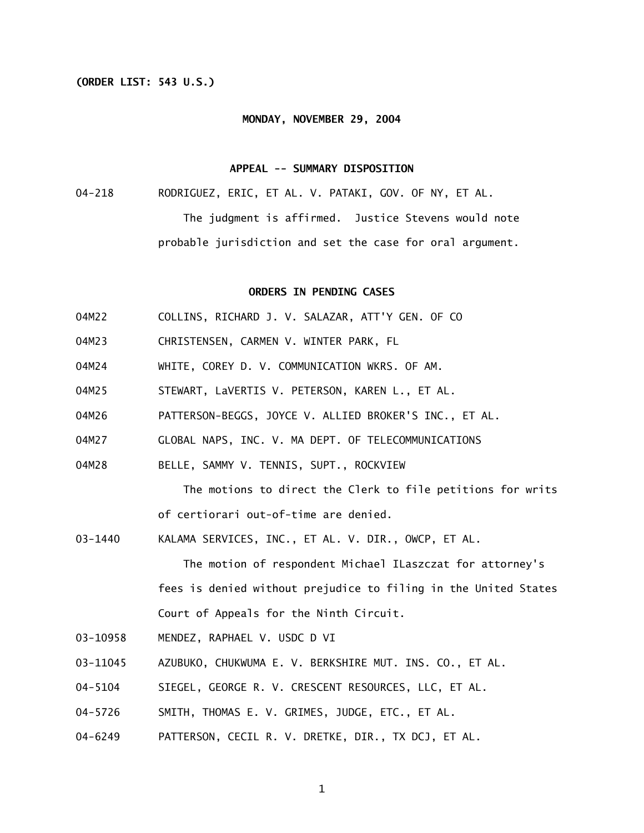## **(ORDER LIST: 543 U.S.)**

#### **MONDAY, NOVEMBER 29, 2004**

### **APPEAL -- SUMMARY DISPOSITION**

04-218 RODRIGUEZ, ERIC, ET AL. V. PATAKI, GOV. OF NY, ET AL. The judgment is affirmed. Justice Stevens would note probable jurisdiction and set the case for oral argument.

### **ORDERS IN PENDING CASES**

- 04M22 COLLINS, RICHARD J. V. SALAZAR, ATT'Y GEN. OF CO
- 04M23 CHRISTENSEN, CARMEN V. WINTER PARK, FL
- 04M24 WHITE, COREY D. V. COMMUNICATION WKRS. OF AM.
- 04M25 STEWART, LaVERTIS V. PETERSON, KAREN L., ET AL.
- 04M26 PATTERSON-BEGGS, JOYCE V. ALLIED BROKER'S INC., ET AL.
- 04M27 GLOBAL NAPS, INC. V. MA DEPT. OF TELECOMMUNICATIONS
- 04M28 BELLE, SAMMY V. TENNIS, SUPT., ROCKVIEW

 The motions to direct the Clerk to file petitions for writs of certiorari out-of-time are denied.

03-1440 KALAMA SERVICES, INC., ET AL. V. DIR., OWCP, ET AL.

 The motion of respondent Michael ILaszczat for attorney's fees is denied without prejudice to filing in the United States Court of Appeals for the Ninth Circuit.

- 03-10958 MENDEZ, RAPHAEL V. USDC D VI
- 03-11045 AZUBUKO, CHUKWUMA E. V. BERKSHIRE MUT. INS. CO., ET AL.
- 04-5104 SIEGEL, GEORGE R. V. CRESCENT RESOURCES, LLC, ET AL.
- 04-5726 SMITH, THOMAS E. V. GRIMES, JUDGE, ETC., ET AL.
- 04-6249 PATTERSON, CECIL R. V. DRETKE, DIR., TX DCJ, ET AL.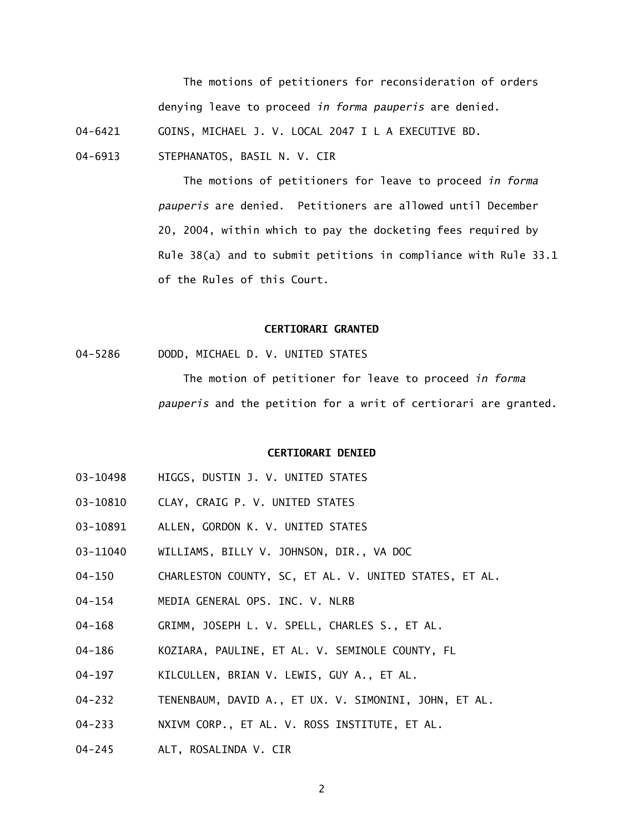The motions of petitioners for reconsideration of orders denying leave to proceed *in forma pauperis* are denied.

04-6421 GOINS, MICHAEL J. V. LOCAL 2047 I L A EXECUTIVE BD.

04-6913 STEPHANATOS, BASIL N. V. CIR

> The motions of petitioners for leave to proceed *in forma pauperis* are denied. Petitioners are allowed until December 20, 2004, within which to pay the docketing fees required by Rule 38(a) and to submit petitions in compliance with Rule 33.1 of the Rules of this Court.

# **CERTIORARI GRANTED**

04-5286 DODD, MICHAEL D. V. UNITED STATES

> The motion of petitioner for leave to proceed *in forma pauperis* and the petition for a writ of certiorari are granted.

### **CERTIORARI DENIED**

- 03-10498 HIGGS, DUSTIN J. V. UNITED STATES
- 03-10810 CLAY, CRAIG P. V. UNITED STATES
- 03-10891 ALLEN, GORDON K. V. UNITED STATES
- 03-11040 WILLIAMS, BILLY V. JOHNSON, DIR., VA DOC
- 04-150 CHARLESTON COUNTY, SC, ET AL. V. UNITED STATES, ET AL.
- 04-154 MEDIA GENERAL OPS. INC. V. NLRB
- 04-168 GRIMM, JOSEPH L. V. SPELL, CHARLES S., ET AL.
- 04-186 KOZIARA, PAULINE, ET AL. V. SEMINOLE COUNTY, FL
- 04-197 KILCULLEN, BRIAN V. LEWIS, GUY A., ET AL.
- 04-232 TENENBAUM, DAVID A., ET UX. V. SIMONINI, JOHN, ET AL.
- 04-233 NXIVM CORP., ET AL. V. ROSS INSTITUTE, ET AL.
- 04-245 ALT, ROSALINDA V. CIR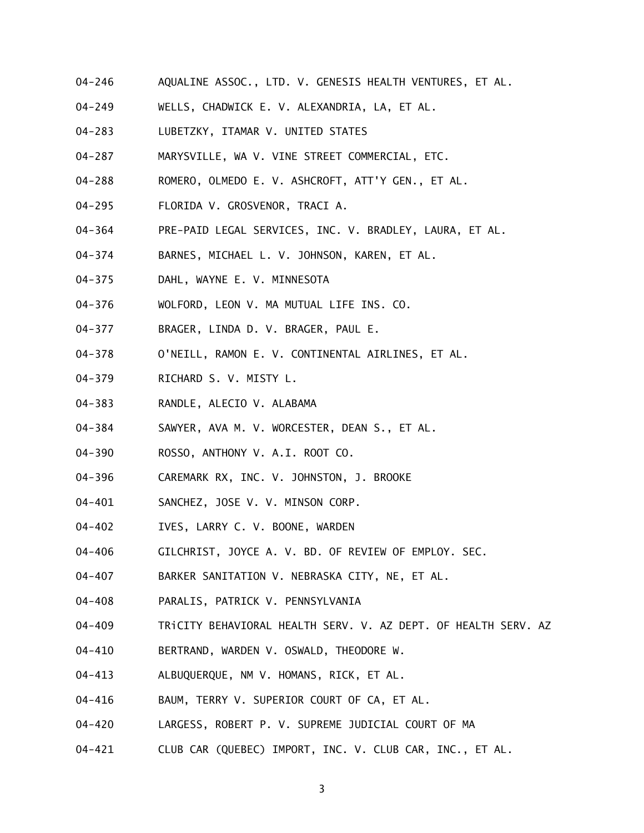- 04-246 AQUALINE ASSOC., LTD. V. GENESIS HEALTH VENTURES, ET AL.
- 04-249 WELLS, CHADWICK E. V. ALEXANDRIA, LA, ET AL.
- 04-283 LUBETZKY, ITAMAR V. UNITED STATES
- 04-287 MARYSVILLE, WA V. VINE STREET COMMERCIAL, ETC.
- 04-288 ROMERO, OLMEDO E. V. ASHCROFT, ATT'Y GEN., ET AL.
- 04-295 FLORIDA V. GROSVENOR, TRACI A.
- 04-364 PRE-PAID LEGAL SERVICES, INC. V. BRADLEY, LAURA, ET AL.
- 04-374 BARNES, MICHAEL L. V. JOHNSON, KAREN, ET AL.
- 04-375 DAHL, WAYNE E. V. MINNESOTA
- 04-376 WOLFORD, LEON V. MA MUTUAL LIFE INS. CO.
- 04-377 BRAGER, LINDA D. V. BRAGER, PAUL E.
- 04-378 O'NEILL, RAMON E. V. CONTINENTAL AIRLINES, ET AL.
- 04-379 RICHARD S. V. MISTY L.
- 04-383 RANDLE, ALECIO V. ALABAMA
- 04-384 SAWYER, AVA M. V. WORCESTER, DEAN S., ET AL.
- 04-390 ROSSO, ANTHONY V. A.I. ROOT CO.
- 04-396 CAREMARK RX, INC. V. JOHNSTON, J. BROOKE
- 04-401 SANCHEZ, JOSE V. V. MINSON CORP.
- 04-402 IVES, LARRY C. V. BOONE, WARDEN
- 04-406 GILCHRIST, JOYCE A. V. BD. OF REVIEW OF EMPLOY. SEC.
- 04-407 BARKER SANITATION V. NEBRASKA CITY, NE, ET AL.
- 04-408 PARALIS, PATRICK V. PENNSYLVANIA
- 04-409 TRiCITY BEHAVIORAL HEALTH SERV. V. AZ DEPT. OF HEALTH SERV. AZ
- 04-410 BERTRAND, WARDEN V. OSWALD, THEODORE W.
- 04-413 ALBUQUERQUE, NM V. HOMANS, RICK, ET AL.
- 04-416 BAUM, TERRY V. SUPERIOR COURT OF CA, ET AL.
- 04-420 LARGESS, ROBERT P. V. SUPREME JUDICIAL COURT OF MA
- 04-421 CLUB CAR (QUEBEC) IMPORT, INC. V. CLUB CAR, INC., ET AL.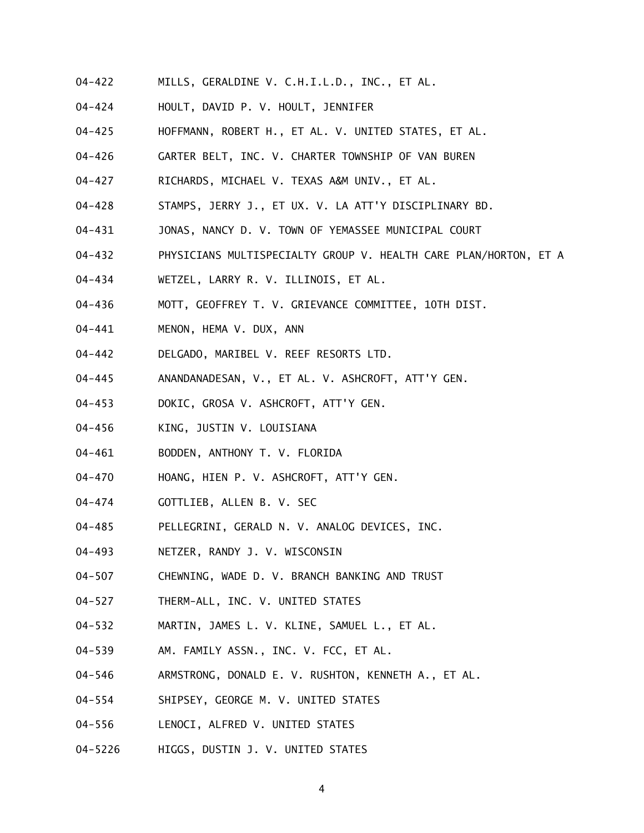- 04-422 MILLS, GERALDINE V. C.H.I.L.D., INC., ET AL.
- 04-424 HOULT, DAVID P. V. HOULT, JENNIFER
- 04-425 HOFFMANN, ROBERT H., ET AL. V. UNITED STATES, ET AL.
- 04-426 GARTER BELT, INC. V. CHARTER TOWNSHIP OF VAN BUREN
- 04-427 RICHARDS, MICHAEL V. TEXAS A&M UNIV., ET AL.
- 04-428 STAMPS, JERRY J., ET UX. V. LA ATT'Y DISCIPLINARY BD.
- 04-431 JONAS, NANCY D. V. TOWN OF YEMASSEE MUNICIPAL COURT
- 04-432 PHYSICIANS MULTISPECIALTY GROUP V. HEALTH CARE PLAN/HORTON, ET A
- 04-434 WETZEL, LARRY R. V. ILLINOIS, ET AL.
- 04-436 MOTT, GEOFFREY T. V. GRIEVANCE COMMITTEE, 10TH DIST.
- 04-441 MENON, HEMA V. DUX, ANN
- 04-442 DELGADO, MARIBEL V. REEF RESORTS LTD.
- 04-445 ANANDANADESAN, V., ET AL. V. ASHCROFT, ATT'Y GEN.
- 04-453 DOKIC, GROSA V. ASHCROFT, ATT'Y GEN.
- 04-456 KING, JUSTIN V. LOUISIANA
- 04-461 BODDEN, ANTHONY T. V. FLORIDA
- 04-470 HOANG, HIEN P. V. ASHCROFT, ATT'Y GEN.
- 04-474 GOTTLIEB, ALLEN B. V. SEC
- 04-485 PELLEGRINI, GERALD N. V. ANALOG DEVICES, INC.
- 04-493 NETZER, RANDY J. V. WISCONSIN
- 04-507 CHEWNING, WADE D. V. BRANCH BANKING AND TRUST
- 04-527 THERM-ALL, INC. V. UNITED STATES
- 04-532 MARTIN, JAMES L. V. KLINE, SAMUEL L., ET AL.
- 04-539 AM. FAMILY ASSN., INC. V. FCC, ET AL.
- 04-546 ARMSTRONG, DONALD E. V. RUSHTON, KENNETH A., ET AL.
- 04-554 SHIPSEY, GEORGE M. V. UNITED STATES
- 04-556 LENOCI, ALFRED V. UNITED STATES
- 04-5226 HIGGS, DUSTIN J. V. UNITED STATES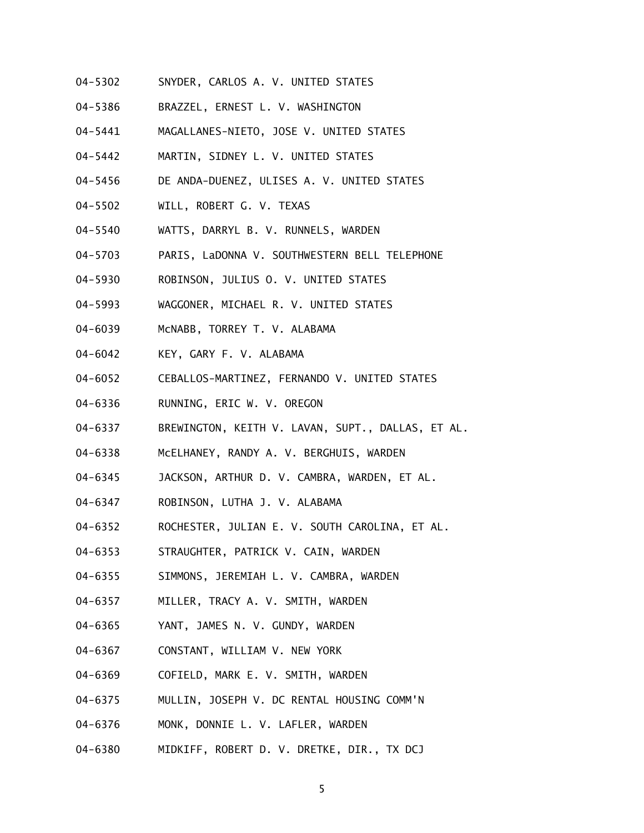- 04-5302 SNYDER, CARLOS A. V. UNITED STATES
- 04-5386 BRAZZEL, ERNEST L. V. WASHINGTON
- 04-5441 MAGALLANES-NIETO, JOSE V. UNITED STATES
- 04-5442 MARTIN, SIDNEY L. V. UNITED STATES
- 04-5456 DE ANDA-DUENEZ, ULISES A. V. UNITED STATES
- 04-5502 WILL, ROBERT G. V. TEXAS
- 04-5540 WATTS, DARRYL B. V. RUNNELS, WARDEN
- 04-5703 PARIS, LaDONNA V. SOUTHWESTERN BELL TELEPHONE
- 04-5930 ROBINSON, JULIUS O. V. UNITED STATES
- 04-5993 WAGGONER, MICHAEL R. V. UNITED STATES
- 04-6039 McNABB, TORREY T. V. ALABAMA
- 04-6042 KEY, GARY F. V. ALABAMA
- 04-6052 CEBALLOS-MARTINEZ, FERNANDO V. UNITED STATES
- 04-6336 RUNNING, ERIC W. V. OREGON
- 04-6337 BREWINGTON, KEITH V. LAVAN, SUPT., DALLAS, ET AL.
- 04-6338 McELHANEY, RANDY A. V. BERGHUIS, WARDEN
- 04-6345 JACKSON, ARTHUR D. V. CAMBRA, WARDEN, ET AL.
- 04-6347 ROBINSON, LUTHA J. V. ALABAMA
- 04-6352 ROCHESTER, JULIAN E. V. SOUTH CAROLINA, ET AL.
- 04-6353 STRAUGHTER, PATRICK V. CAIN, WARDEN
- 04-6355 SIMMONS, JEREMIAH L. V. CAMBRA, WARDEN
- 04-6357 MILLER, TRACY A. V. SMITH, WARDEN
- 04-6365 YANT, JAMES N. V. GUNDY, WARDEN
- 04-6367 CONSTANT, WILLIAM V. NEW YORK
- 04-6369 COFIELD, MARK E. V. SMITH, WARDEN
- 04-6375 MULLIN, JOSEPH V. DC RENTAL HOUSING COMM'N
- 04-6376 MONK, DONNIE L. V. LAFLER, WARDEN
- 04-6380 MIDKIFF, ROBERT D. V. DRETKE, DIR., TX DCJ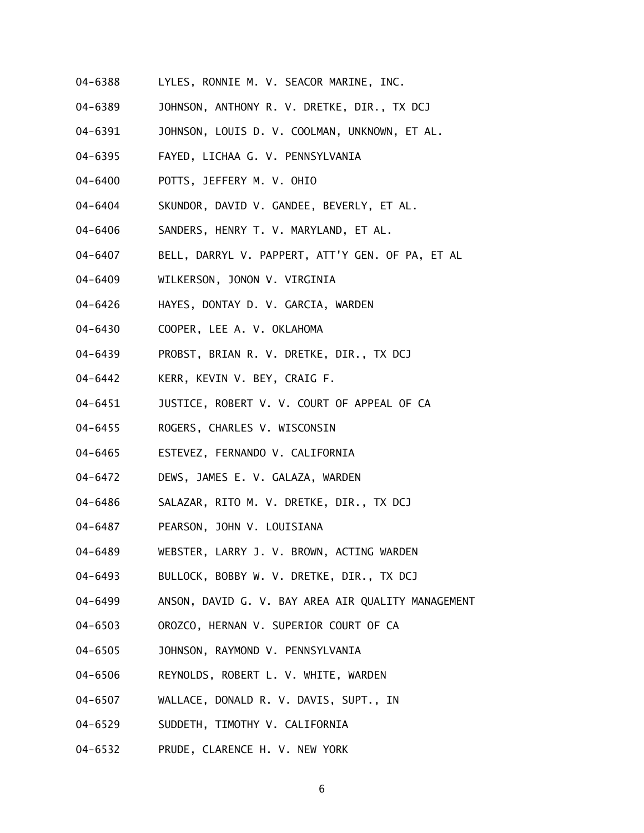- 04-6388 LYLES, RONNIE M. V. SEACOR MARINE, INC.
- 04-6389 JOHNSON, ANTHONY R. V. DRETKE, DIR., TX DCJ
- 04-6391 JOHNSON, LOUIS D. V. COOLMAN, UNKNOWN, ET AL.
- 04-6395 FAYED, LICHAA G. V. PENNSYLVANIA
- 04-6400 POTTS, JEFFERY M. V. OHIO
- 04-6404 SKUNDOR, DAVID V. GANDEE, BEVERLY, ET AL.
- 04-6406 SANDERS, HENRY T. V. MARYLAND, ET AL.
- 04-6407 BELL, DARRYL V. PAPPERT, ATT'Y GEN. OF PA, ET AL
- 04-6409 WILKERSON, JONON V. VIRGINIA
- 04-6426 HAYES, DONTAY D. V. GARCIA, WARDEN
- 04-6430 COOPER, LEE A. V. OKLAHOMA
- 04-6439 PROBST, BRIAN R. V. DRETKE, DIR., TX DCJ
- 04-6442 KERR, KEVIN V. BEY, CRAIG F.
- 04-6451 JUSTICE, ROBERT V. V. COURT OF APPEAL OF CA
- 04-6455 ROGERS, CHARLES V. WISCONSIN
- 04-6465 ESTEVEZ, FERNANDO V. CALIFORNIA
- 04-6472 DEWS, JAMES E. V. GALAZA, WARDEN
- 04-6486 SALAZAR, RITO M. V. DRETKE, DIR., TX DCJ
- 04-6487 PEARSON, JOHN V. LOUISIANA
- 04-6489 WEBSTER, LARRY J. V. BROWN, ACTING WARDEN
- 04-6493 BULLOCK, BOBBY W. V. DRETKE, DIR., TX DCJ
- 04-6499 ANSON, DAVID G. V. BAY AREA AIR QUALITY MANAGEMENT
- 04-6503 OROZCO, HERNAN V. SUPERIOR COURT OF CA
- 04-6505 JOHNSON, RAYMOND V. PENNSYLVANIA
- 04-6506 REYNOLDS, ROBERT L. V. WHITE, WARDEN
- 04-6507 WALLACE, DONALD R. V. DAVIS, SUPT., IN
- 04-6529 SUDDETH, TIMOTHY V. CALIFORNIA
- 04-6532 PRUDE, CLARENCE H. V. NEW YORK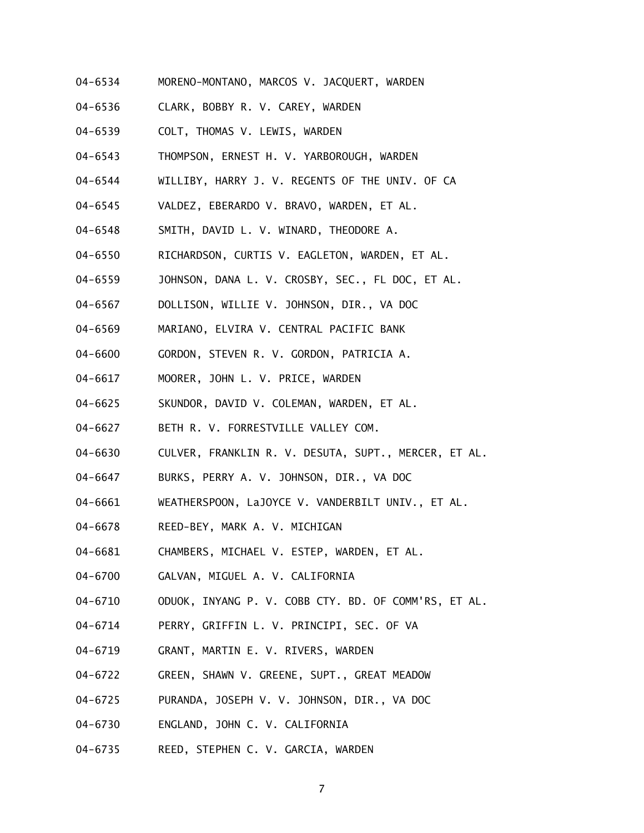- 04-6534 MORENO-MONTANO, MARCOS V. JACQUERT, WARDEN
- 04-6536 CLARK, BOBBY R. V. CAREY, WARDEN
- 04-6539 COLT, THOMAS V. LEWIS, WARDEN
- 04-6543 THOMPSON, ERNEST H. V. YARBOROUGH, WARDEN
- 04-6544 WILLIBY, HARRY J. V. REGENTS OF THE UNIV. OF CA
- 04-6545 VALDEZ, EBERARDO V. BRAVO, WARDEN, ET AL.
- 04-6548 SMITH, DAVID L. V. WINARD, THEODORE A.
- 04-6550 RICHARDSON, CURTIS V. EAGLETON, WARDEN, ET AL.
- 04-6559 JOHNSON, DANA L. V. CROSBY, SEC., FL DOC, ET AL.
- 04-6567 DOLLISON, WILLIE V. JOHNSON, DIR., VA DOC
- 04-6569 MARIANO, ELVIRA V. CENTRAL PACIFIC BANK
- 04-6600 GORDON, STEVEN R. V. GORDON, PATRICIA A.
- 04-6617 MOORER, JOHN L. V. PRICE, WARDEN
- 04-6625 SKUNDOR, DAVID V. COLEMAN, WARDEN, ET AL.
- 04-6627 BETH R. V. FORRESTVILLE VALLEY COM.
- 04-6630 CULVER, FRANKLIN R. V. DESUTA, SUPT., MERCER, ET AL.
- 04-6647 BURKS, PERRY A. V. JOHNSON, DIR., VA DOC
- 04-6661 WEATHERSPOON, LaJOYCE V. VANDERBILT UNIV., ET AL.
- 04-6678 REED-BEY, MARK A. V. MICHIGAN
- 04-6681 CHAMBERS, MICHAEL V. ESTEP, WARDEN, ET AL.
- 04-6700 GALVAN, MIGUEL A. V. CALIFORNIA
- 04-6710 ODUOK, INYANG P. V. COBB CTY. BD. OF COMM'RS, ET AL.
- 04-6714 PERRY, GRIFFIN L. V. PRINCIPI, SEC. OF VA
- 04-6719 GRANT, MARTIN E. V. RIVERS, WARDEN
- 04-6722 GREEN, SHAWN V. GREENE, SUPT., GREAT MEADOW
- 04-6725 PURANDA, JOSEPH V. V. JOHNSON, DIR., VA DOC
- 04-6730 ENGLAND, JOHN C. V. CALIFORNIA
- 04-6735 REED, STEPHEN C. V. GARCIA, WARDEN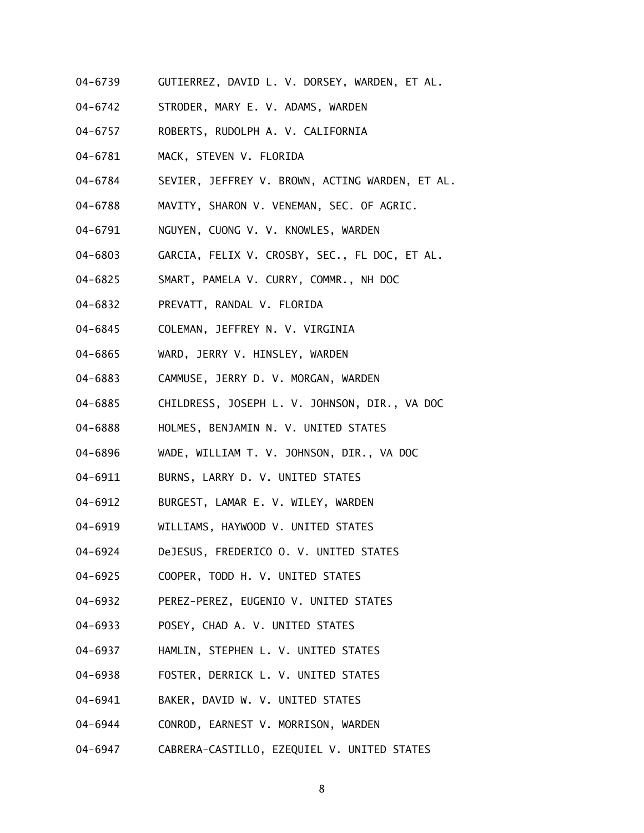- 04-6739 GUTIERREZ, DAVID L. V. DORSEY, WARDEN, ET AL.
- 04-6742 STRODER, MARY E. V. ADAMS, WARDEN
- 04-6757 ROBERTS, RUDOLPH A. V. CALIFORNIA
- 04-6781 MACK, STEVEN V. FLORIDA
- 04-6784 SEVIER, JEFFREY V. BROWN, ACTING WARDEN, ET AL.
- 04-6788 MAVITY, SHARON V. VENEMAN, SEC. OF AGRIC.
- 04-6791 NGUYEN, CUONG V. V. KNOWLES, WARDEN
- 04-6803 GARCIA, FELIX V. CROSBY, SEC., FL DOC, ET AL.
- 04-6825 SMART, PAMELA V. CURRY, COMMR., NH DOC
- 04-6832 PREVATT, RANDAL V. FLORIDA
- 04-6845 COLEMAN, JEFFREY N. V. VIRGINIA
- 04-6865 WARD, JERRY V. HINSLEY, WARDEN
- 04-6883 CAMMUSE, JERRY D. V. MORGAN, WARDEN
- 04-6885 CHILDRESS, JOSEPH L. V. JOHNSON, DIR., VA DOC
- 04-6888 HOLMES, BENJAMIN N. V. UNITED STATES
- 04-6896 WADE, WILLIAM T. V. JOHNSON, DIR., VA DOC
- 04-6911 BURNS, LARRY D. V. UNITED STATES
- 04-6912 BURGEST, LAMAR E. V. WILEY, WARDEN
- 04-6919 WILLIAMS, HAYWOOD V. UNITED STATES
- 04-6924 DeJESUS, FREDERICO O. V. UNITED STATES
- 04-6925 COOPER, TODD H. V. UNITED STATES
- 04-6932 PEREZ-PEREZ, EUGENIO V. UNITED STATES
- 04-6933 POSEY, CHAD A. V. UNITED STATES
- 04-6937 HAMLIN, STEPHEN L. V. UNITED STATES
- 04-6938 FOSTER, DERRICK L. V. UNITED STATES
- 04-6941 BAKER, DAVID W. V. UNITED STATES
- 04-6944 CONROD, EARNEST V. MORRISON, WARDEN
- 04-6947 CABRERA-CASTILLO, EZEQUIEL V. UNITED STATES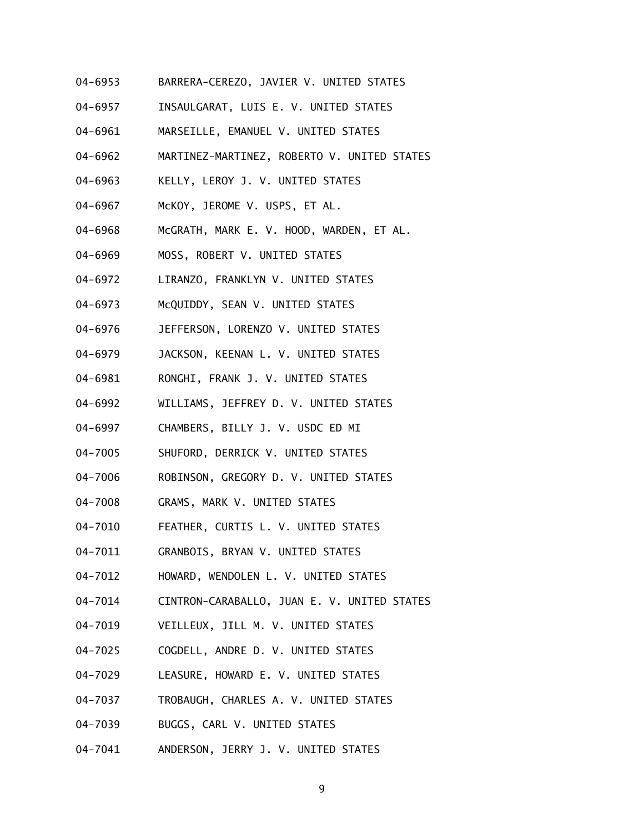- 04-6953 BARRERA-CEREZO, JAVIER V. UNITED STATES
- 04-6957 INSAULGARAT, LUIS E. V. UNITED STATES
- 04-6961 MARSEILLE, EMANUEL V. UNITED STATES
- 04-6962 MARTINEZ-MARTINEZ, ROBERTO V. UNITED STATES
- 04-6963 KELLY, LEROY J. V. UNITED STATES
- 04-6967 McKOY, JEROME V. USPS, ET AL.
- 04-6968 McGRATH, MARK E. V. HOOD, WARDEN, ET AL.
- 04-6969 MOSS, ROBERT V. UNITED STATES
- 04-6972 LIRANZO, FRANKLYN V. UNITED STATES
- 04-6973 McQUIDDY, SEAN V. UNITED STATES
- 04-6976 JEFFERSON, LORENZO V. UNITED STATES
- 04-6979 JACKSON, KEENAN L. V. UNITED STATES
- 04-6981 RONGHI, FRANK J. V. UNITED STATES
- 04-6992 WILLIAMS, JEFFREY D. V. UNITED STATES
- 04-6997 CHAMBERS, BILLY J. V. USDC ED MI
- 04-7005 SHUFORD, DERRICK V. UNITED STATES
- 04-7006 ROBINSON, GREGORY D. V. UNITED STATES
- 04-7008 GRAMS, MARK V. UNITED STATES
- 04-7010 FEATHER, CURTIS L. V. UNITED STATES
- 04-7011 GRANBOIS, BRYAN V. UNITED STATES
- 04-7012 HOWARD, WENDOLEN L. V. UNITED STATES
- 04-7014 CINTRON-CARABALLO, JUAN E. V. UNITED STATES
- 04-7019 VEILLEUX, JILL M. V. UNITED STATES
- 04-7025 COGDELL, ANDRE D. V. UNITED STATES
- 04-7029 LEASURE, HOWARD E. V. UNITED STATES
- 04-7037 TROBAUGH, CHARLES A. V. UNITED STATES
- 04-7039 BUGGS, CARL V. UNITED STATES
- 04-7041 ANDERSON, JERRY J. V. UNITED STATES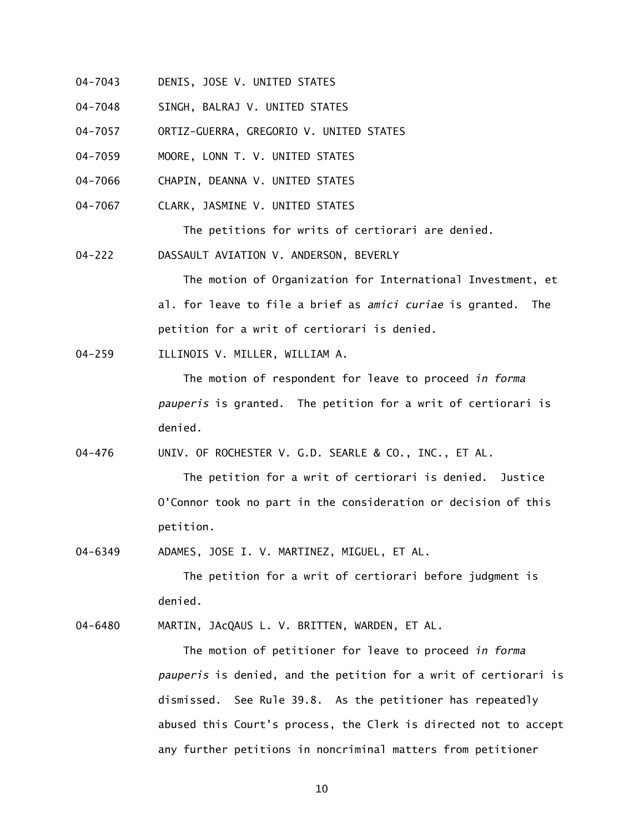- 04-7043 DENIS, JOSE V. UNITED STATES
- 04-7048 SINGH, BALRAJ V. UNITED STATES
- 04-7057 ORTIZ-GUERRA, GREGORIO V. UNITED STATES
- 04-7059 MOORE, LONN T. V. UNITED STATES
- 04-7066 CHAPIN, DEANNA V. UNITED STATES
- 04-7067 CLARK, JASMINE V. UNITED STATES

The petitions for writs of certiorari are denied.

04-222 DASSAULT AVIATION V. ANDERSON, BEVERLY

 The motion of Organization for International Investment, et al. for leave to file a brief as *amici curiae* is granted. The petition for a writ of certiorari is denied.

04-259 ILLINOIS V. MILLER, WILLIAM A.

 The motion of respondent for leave to proceed *in forma pauperis* is granted. The petition for a writ of certiorari is denied.

04-476 UNIV. OF ROCHESTER V. G.D. SEARLE & CO., INC., ET AL.

 The petition for a writ of certiorari is denied. Justice O'Connor took no part in the consideration or decision of this petition.

04-6349 ADAMES, JOSE I. V. MARTINEZ, MIGUEL, ET AL.

 The petition for a writ of certiorari before judgment is denied.

04-6480 MARTIN, JAcQAUS L. V. BRITTEN, WARDEN, ET AL.

 The motion of petitioner for leave to proceed *in forma pauperis* is denied, and the petition for a writ of certiorari is dismissed. See Rule 39.8. As the petitioner has repeatedly abused this Court's process, the Clerk is directed not to accept any further petitions in noncriminal matters from petitioner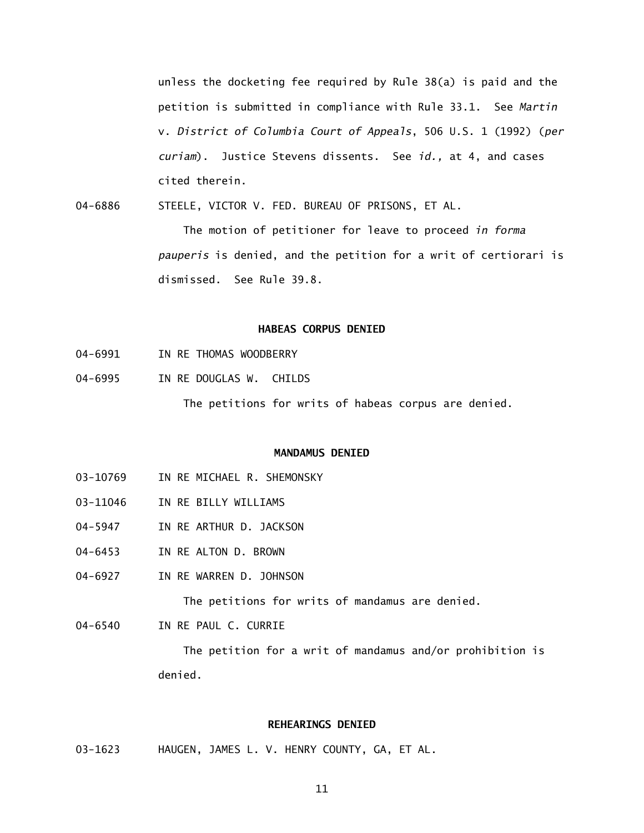unless the docketing fee required by Rule 38(a) is paid and the petition is submitted in compliance with Rule 33.1. See *Martin*  v. *District of Columbia Court of Appeals*, 506 U.S. 1 (1992) (*per curiam*). Justice Stevens dissents. See *id.,* at 4, and cases cited therein.

04-6886 STEELE, VICTOR V. FED. BUREAU OF PRISONS, ET AL.

> The motion of petitioner for leave to proceed *in forma pauperis* is denied, and the petition for a writ of certiorari is dismissed. See Rule 39.8.

## **HABEAS CORPUS DENIED**

- 04-6991 IN RE THOMAS WOODBERRY
- 04-6995 IN RE DOUGLAS W. CHILDS

The petitions for writs of habeas corpus are denied.

### **MANDAMUS DENIED**

- 03-10769 IN RE MICHAEL R. SHEMONSKY
- 03-11046 IN RE BILLY WILLIAMS
- 04-5947 IN RE ARTHUR D. JACKSON
- 04-6453 IN RE ALTON D. BROWN
- 04-6927 IN RE WARREN D. JOHNSON

The petitions for writs of mandamus are denied.

04-6540 IN RE PAUL C. CURRIE

> The petition for a writ of mandamus and/or prohibition is denied.

### **REHEARINGS DENIED**

03-1623 HAUGEN, JAMES L. V. HENRY COUNTY, GA, ET AL.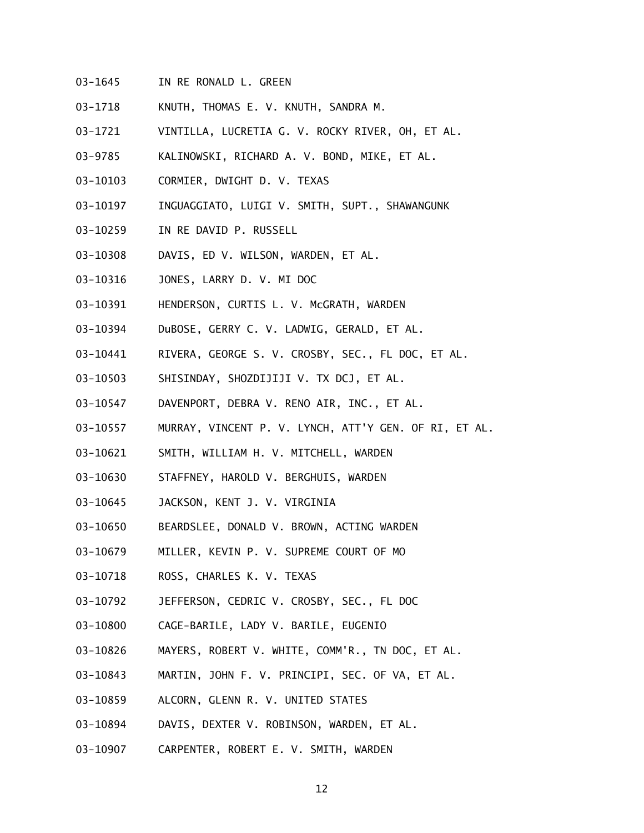- 03-1645 IN RE RONALD L. GREEN
- 03-1718 KNUTH, THOMAS E. V. KNUTH, SANDRA M.
- 03-1721 VINTILLA, LUCRETIA G. V. ROCKY RIVER, OH, ET AL.
- 03-9785 KALINOWSKI, RICHARD A. V. BOND, MIKE, ET AL.
- 03-10103 CORMIER, DWIGHT D. V. TEXAS
- 03-10197 INGUAGGIATO, LUIGI V. SMITH, SUPT., SHAWANGUNK
- 03-10259 IN RE DAVID P. RUSSELL
- 03-10308 DAVIS, ED V. WILSON, WARDEN, ET AL.
- 03-10316 JONES, LARRY D. V. MI DOC
- 03-10391 HENDERSON, CURTIS L. V. McGRATH, WARDEN
- 03-10394 DuBOSE, GERRY C. V. LADWIG, GERALD, ET AL.
- 03-10441 RIVERA, GEORGE S. V. CROSBY, SEC., FL DOC, ET AL.
- 03-10503 SHISINDAY, SHOZDIJIJI V. TX DCJ, ET AL.
- 03-10547 DAVENPORT, DEBRA V. RENO AIR, INC., ET AL.
- 03-10557 MURRAY, VINCENT P. V. LYNCH, ATT'Y GEN. OF RI, ET AL.
- 03-10621 SMITH, WILLIAM H. V. MITCHELL, WARDEN
- 03-10630 STAFFNEY, HAROLD V. BERGHUIS, WARDEN
- 03-10645 JACKSON, KENT J. V. VIRGINIA
- 03-10650 BEARDSLEE, DONALD V. BROWN, ACTING WARDEN
- 03-10679 MILLER, KEVIN P. V. SUPREME COURT OF MO
- 03-10718 ROSS, CHARLES K. V. TEXAS
- 03-10792 JEFFERSON, CEDRIC V. CROSBY, SEC., FL DOC
- 03-10800 CAGE-BARILE, LADY V. BARILE, EUGENIO
- 03-10826 MAYERS, ROBERT V. WHITE, COMM'R., TN DOC, ET AL.
- 03-10843 MARTIN, JOHN F. V. PRINCIPI, SEC. OF VA, ET AL.
- 03-10859 ALCORN, GLENN R. V. UNITED STATES
- 03-10894 DAVIS, DEXTER V. ROBINSON, WARDEN, ET AL.
- 03-10907 CARPENTER, ROBERT E. V. SMITH, WARDEN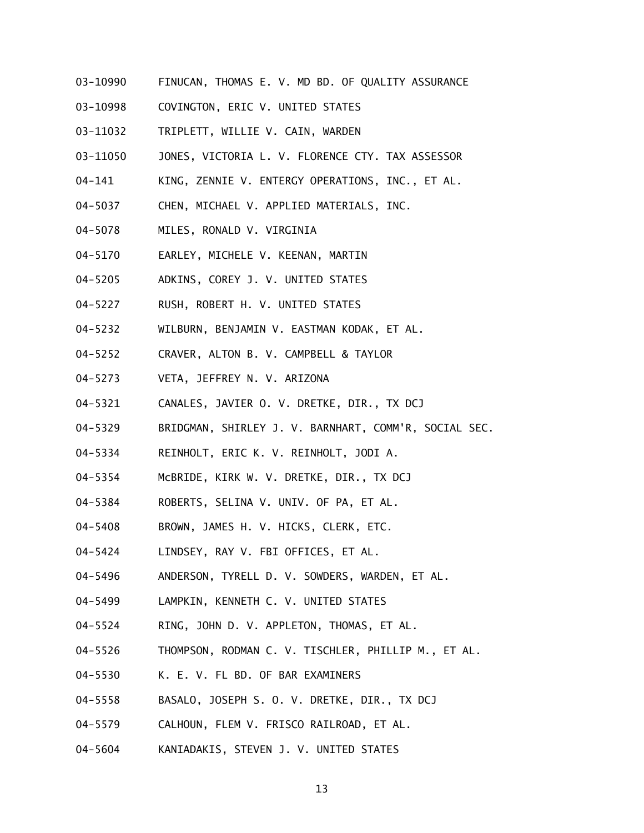- 03-10990 FINUCAN, THOMAS E. V. MD BD. OF QUALITY ASSURANCE
- 03-10998 COVINGTON, ERIC V. UNITED STATES
- 03-11032 TRIPLETT, WILLIE V. CAIN, WARDEN
- 03-11050 JONES, VICTORIA L. V. FLORENCE CTY. TAX ASSESSOR
- 04-141 KING, ZENNIE V. ENTERGY OPERATIONS, INC., ET AL.
- 04-5037 CHEN, MICHAEL V. APPLIED MATERIALS, INC.
- 04-5078 MILES, RONALD V. VIRGINIA
- 04-5170 EARLEY, MICHELE V. KEENAN, MARTIN
- 04-5205 ADKINS, COREY J. V. UNITED STATES
- 04-5227 RUSH, ROBERT H. V. UNITED STATES
- 04-5232 WILBURN, BENJAMIN V. EASTMAN KODAK, ET AL.
- 04-5252 CRAVER, ALTON B. V. CAMPBELL & TAYLOR
- 04-5273 VETA, JEFFREY N. V. ARIZONA
- 04-5321 CANALES, JAVIER O. V. DRETKE, DIR., TX DCJ
- 04-5329 BRIDGMAN, SHIRLEY J. V. BARNHART, COMM'R, SOCIAL SEC.
- 04-5334 REINHOLT, ERIC K. V. REINHOLT, JODI A.
- 04-5354 McBRIDE, KIRK W. V. DRETKE, DIR., TX DCJ
- 04-5384 ROBERTS, SELINA V. UNIV. OF PA, ET AL.
- 04-5408 BROWN, JAMES H. V. HICKS, CLERK, ETC.
- 04-5424 LINDSEY, RAY V. FBI OFFICES, ET AL.
- 04-5496 ANDERSON, TYRELL D. V. SOWDERS, WARDEN, ET AL.
- 04-5499 LAMPKIN, KENNETH C. V. UNITED STATES
- 04-5524 RING, JOHN D. V. APPLETON, THOMAS, ET AL.
- 04-5526 THOMPSON, RODMAN C. V. TISCHLER, PHILLIP M., ET AL.
- 04-5530 K. E. V. FL BD. OF BAR EXAMINERS
- 04-5558 BASALO, JOSEPH S. O. V. DRETKE, DIR., TX DCJ
- 04-5579 CALHOUN, FLEM V. FRISCO RAILROAD, ET AL.
- 04-5604 KANIADAKIS, STEVEN J. V. UNITED STATES